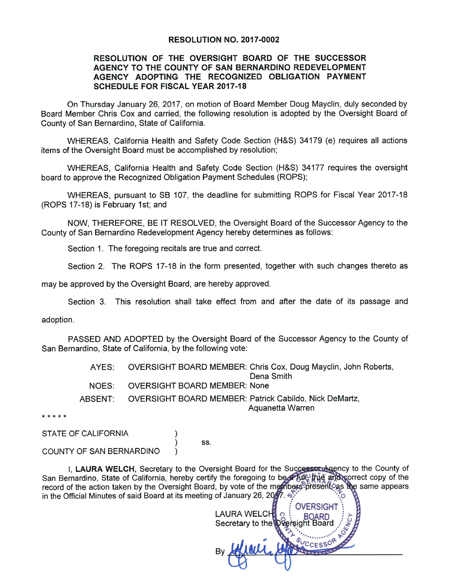#### **RESOLUTION NO. 2017-0002**

### RESOLUTION OF THE OVERSIGHT BOARD OF THE SUCCESSOR AGENCY TO THE COUNTY OF SAN BERNARDINO REDEVELOPMENT AGENCY ADOPTING THE RECOGNIZED OBLIGATION PAYMENT **SCHEDULE FOR FISCAL YEAR 2017-18**

On Thursday January 26, 2017, on motion of Board Member Doug Mayclin, duly seconded by Board Member Chris Cox and carried, the following resolution is adopted by the Oversight Board of County of San Bernardino, State of California.

WHEREAS, California Health and Safety Code Section (H&S) 34179 (e) requires all actions items of the Oversight Board must be accomplished by resolution;

WHEREAS, California Health and Safety Code Section (H&S) 34177 requires the oversight board to approve the Recognized Obligation Payment Schedules (ROPS);

WHEREAS, pursuant to SB 107, the deadline for submitting ROPS for Fiscal Year 2017-18 (ROPS 17-18) is February 1st; and

NOW, THEREFORE, BE IT RESOLVED, the Oversight Board of the Successor Agency to the County of San Bernardino Redevelopment Agency hereby determines as follows:

Section 1. The foregoing recitals are true and correct.

Section 2. The ROPS 17-18 in the form presented, together with such changes thereto as

may be approved by the Oversight Board, are hereby approved.

Section 3. This resolution shall take effect from and after the date of its passage and

adoption.

PASSED AND ADOPTED by the Oversight Board of the Successor Agency to the County of San Bernardino, State of California, by the following vote:

> **OVERSIGHT BOARD MEMBER: Chris Cox, Doug Mayclin, John Roberts,** AYES:

Dena Smith

**OVERSIGHT BOARD MEMBER: None** NOES:

> $\mathcal{E}$  $\mathcal{E}$

ABSENT: OVERSIGHT BOARD MEMBER: Patrick Cabildo, Nick DeMartz, Aquanetta Warren

\* \* \* \* \*

STATE OF CALIFORNIA

SS.

COUNTY OF SAN BERNARDINO

I. LAURA WELCH, Secretary to the Oversight Board for the Successor Agency to the County of San Bernardino, State of California, hereby certify the foregoing to be a full the and correct copy of the record of the action taken by the Oversight Board, by vote of the members present as the same appears in the Official Minutes of said Board at its meeting of January 26, 2017.

**OVERSIGHT LAURA WELCH** Secretary to the Oversight B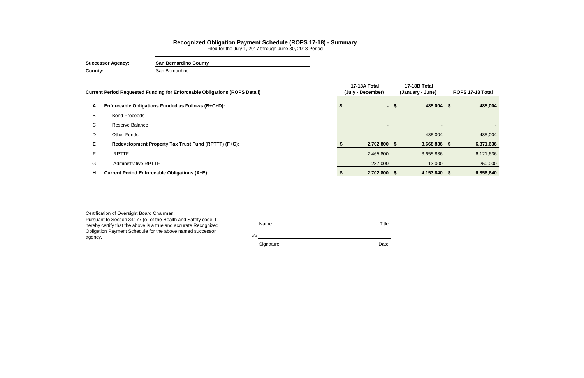|    | Current Period Requested Funding for Enforceable Obligations (ROPS Detail) | 17-18A Total<br>(July - December) |      | 17-18B Total<br>(January - June) | ROPS 17-18 Total |           |  |
|----|----------------------------------------------------------------------------|-----------------------------------|------|----------------------------------|------------------|-----------|--|
| A  | Enforceable Obligations Funded as Follows (B+C+D):                         |                                   | - \$ | 485,004 \$                       |                  | 485,004   |  |
| B  | <b>Bond Proceeds</b>                                                       | $\overline{\phantom{a}}$          |      | $\overline{\phantom{a}}$         |                  |           |  |
| C. | Reserve Balance                                                            | $\overline{\phantom{a}}$          |      | -                                |                  |           |  |
| D  | Other Funds                                                                | $\overline{\phantom{a}}$          |      | 485,004                          |                  | 485,004   |  |
| E. | Redevelopment Property Tax Trust Fund (RPTTF) (F+G):                       | 2,702,800 \$                      |      | 3,668,836 \$                     |                  | 6,371,636 |  |
| F  | <b>RPTTF</b>                                                               | 2,465,800                         |      | 3,655,836                        |                  | 6,121,636 |  |
| G  | <b>Administrative RPTTF</b>                                                | 237,000                           |      | 13,000                           |                  | 250,000   |  |
| н  | <b>Current Period Enforceable Obligations (A+E):</b>                       | 2,702,800 \$                      |      | 4,153,840 \$                     |                  | 6,856,640 |  |

| Certification of Oversight Board Chairman:                      |           |       |
|-----------------------------------------------------------------|-----------|-------|
| Pursuant to Section 34177 (o) of the Health and Safety code, I  |           |       |
| hereby certify that the above is a true and accurate Recognized | Name      | Title |
| Obligation Payment Schedule for the above named successor       |           |       |
| agency.                                                         | /s/       |       |
|                                                                 | Signature | Date  |
|                                                                 |           |       |

## **Recognized Obligation Payment Schedule (ROPS 17-18) - Summary**

Filed for the July 1, 2017 through June 30, 2018 Period

**Successor Agency: San Bernardino County County:** San Bernardino

 $\sim$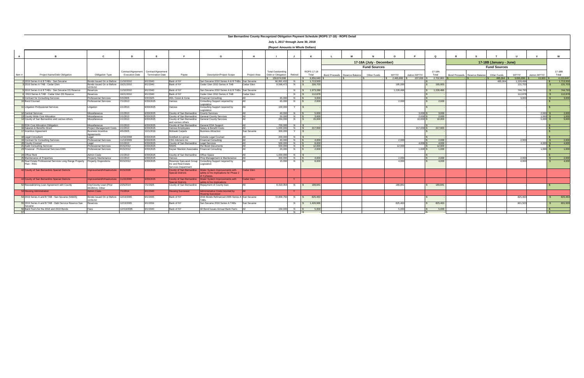|                |                                                                                       |                                                                     |                                             |                                        |                                                             |                                                                                        |              |                                                |                    |                            | San Bernardino County Recognized Obligation Payment Schedule (ROPS 17-18) - ROPS Detail |                          |                |             |                      |                               |                         |                      |             |                 |
|----------------|---------------------------------------------------------------------------------------|---------------------------------------------------------------------|---------------------------------------------|----------------------------------------|-------------------------------------------------------------|----------------------------------------------------------------------------------------|--------------|------------------------------------------------|--------------------|----------------------------|-----------------------------------------------------------------------------------------|--------------------------|----------------|-------------|----------------------|-------------------------------|-------------------------|----------------------|-------------|-----------------|
|                |                                                                                       |                                                                     |                                             |                                        |                                                             |                                                                                        |              | July 1, 2017 through June 30, 2018             |                    |                            |                                                                                         |                          |                |             |                      |                               |                         |                      |             |                 |
|                |                                                                                       |                                                                     |                                             |                                        |                                                             |                                                                                        |              | (Report Amounts in Whole Dollars)              |                    |                            |                                                                                         |                          |                |             |                      |                               |                         |                      |             |                 |
| $\overline{A}$ |                                                                                       | $\mathbf{c}$                                                        | D                                           | E.                                     | -F                                                          | G                                                                                      | H            |                                                |                    |                            |                                                                                         |                          |                |             | $\Omega$             | $\mathbf{R}$                  |                         |                      |             | W               |
|                |                                                                                       |                                                                     |                                             |                                        |                                                             |                                                                                        |              |                                                |                    |                            |                                                                                         |                          |                |             |                      |                               |                         |                      |             |                 |
|                |                                                                                       |                                                                     |                                             |                                        |                                                             |                                                                                        |              |                                                |                    |                            |                                                                                         | 17-18A (July - December) |                |             |                      |                               | 17-18B (January - June) |                      |             |                 |
|                |                                                                                       |                                                                     |                                             |                                        |                                                             |                                                                                        |              |                                                |                    |                            |                                                                                         | <b>Fund Sources</b>      |                |             |                      |                               | <b>Fund Sources</b>     |                      |             |                 |
| Item#          | Project Name/Debt Obligation                                                          | <b>Obligation Type</b>                                              | Contract/Agreement<br><b>Execution Date</b> | Contract/Agreement<br>Termination Date | Payee                                                       | <b>Description/Project Scope</b>                                                       | Project Area | <b>Total Outstanding</b><br>Debt or Obligation | Retired            | <b>ROPS 17-18</b><br>Total |                                                                                         |                          | RPTTF          | Admin RPTTF | 17-18A<br>Total      |                               |                         | <b>RPTTF</b>         | Admin RPTTF | 17-18B<br>Total |
|                |                                                                                       |                                                                     |                                             |                                        |                                                             |                                                                                        |              | \$ 159.874.008                                 |                    | \$6.856.640                | Bond Proceeds Reserve Balance                                                           | Other Funds              | $$2.465.800$ S |             | 237.000 \$ 2.702.800 | Bond Proceeds Reserve Balance | Other Funds             | 485.004 \$ 3.655.836 | 13.000      | 4.153.840       |
|                | 2010 Series A & B TABs - San Sevaine                                                  | Bonds Issued On or Before                                           | 1/10/2010                                   | 9/1/2040                               | Bank of NY                                                  | San Sevaine 2010 Series A & B TABs                                                     | San Sevaine  | 66.891.432                                     | N                  | 1.713.500                  |                                                                                         |                          |                |             |                      |                               | 485.004                 | 1.228.496            |             | 1.713.500       |
|                | 2010 Series A TAB - Cedar Glen                                                        | Bonds Issued On or Before<br>12/31/10                               | 10/21/2010                                  | 9/1/2040                               | Bank of NY                                                  | Cedar Glen 2010 Series A TAB                                                           | Cedar Glen   | 8,598,472                                      | N                  | 326,703<br>$\mathsf{S}$    |                                                                                         |                          | 195,000        |             | 195,000              |                               |                         | 131,703              |             | 131,703         |
|                | 2010 Series A & B TABs - San Sevaine DS Reserve                                       | Reserves                                                            | 11/10/2010                                  | 9/1/2040                               | Bank of NY                                                  | San Sevaine 2010 Series A & B TAB                                                      | San Sevaine  |                                                | N                  | 1,973,28                   |                                                                                         |                          | 1,228,496      |             | 1,228,496            |                               |                         | 744,793              |             | 744,793         |
|                | 2010 Series A TAB - Cedar Glen DS Reserve                                             | Reserves                                                            | 10/21/2010                                  | 9/1/2040                               | Bank of NY                                                  | Cedar Glen 2010 Series A TAB                                                           | Cedar Glen   |                                                | N                  | 112,878                    |                                                                                         |                          |                |             |                      |                               |                         | 112,878              |             | 112,878         |
|                | <b>Contract for Consulting Services</b>                                               | <b>Professional Services</b>                                        | 5/3/2005                                    | 5/3/2025                               | HDL Coren & Cone                                            | <b>Financial Consulting</b>                                                            |              | 45.000                                         | N                  | 3.000                      |                                                                                         |                          |                |             |                      |                               |                         | 3.000                |             | 3,000           |
|                | <b>0</b> Bond Counsel                                                                 | Professional Services                                               | 7/1/2013                                    | 6/30/2025                              | Various                                                     | Consulting Support required by<br>Legislation                                          | AII          | 45,000                                         | N                  | 2,000<br>$\sqrt{2}$        |                                                                                         |                          | 2,000          |             | 2,000                |                               |                         |                      |             |                 |
|                | I Litigation Professional Services                                                    | Litigation                                                          | 1/1/2013                                    | 6/30/2025                              | Various                                                     | Consulting Support required by<br>Legislation                                          | All          | 100,000                                        |                    | $\sim$                     |                                                                                         |                          |                |             |                      |                               |                         |                      |             |                 |
|                | <b>Central Services</b>                                                               | Miscellaneous                                                       | 1/1/2013                                    | 6/30/2025                              | County of San Bernardino County Services                    |                                                                                        |              | 40.000                                         | $N$ $\sqrt{S}$     | 5.000                      |                                                                                         |                          |                | $3.000$ \$  | 3.000                |                               |                         |                      | $2.000$ S   | 2,000           |
|                | County Wide Cost Allocation                                                           | Miscellaneous                                                       | 1/1/2013                                    | 6/30/2025                              | County of San Bernardino                                    | <b>General County Services</b>                                                         |              | 50,000                                         | $N$ $\vert$ 5      | 3.000                      |                                                                                         |                          |                | 2,000S      | 2.000                |                               |                         |                      | $1,000$ \$  | 1,000           |
|                | <sup>4</sup> County of San Bernardino and various others                              | Miscellaneous                                                       | 1/1/2013                                    | 6/30/2025                              | County of San Bernardino<br>and various others              | <b>General County Services</b>                                                         |              | 250,000                                        | N                  | 15,000<br>$\mathbb{R}$     |                                                                                         |                          |                | $10,000$ \$ | 10,000               |                               |                         |                      | $5,000$ \$  | 5.000           |
|                | <b>EDA Cost Allocation Obligation</b>                                                 | Miscellaneous                                                       | 1/1/2013<br>1/1/2013                        | 6/30/2025                              | County of San Bernardino General EDA Support                |                                                                                        | $\Lambda$ II | 700.000<br>1,000,000                           | N                  | 217.000                    |                                                                                         |                          |                | 217,000 \$  | 217,000              |                               |                         |                      |             |                 |
|                | <b>S</b> Salaries & Benefits Direct<br>Incentive Agreement                            | Project Management Costs<br><b>Business Incentive</b><br>Agreements | 4/5/2005                                    | 6/30/2025<br>10/1/2016                 | Various Employees<br>Mohawk Carpets                         | Salary & Benefit Costs<br><b>Business Attraction</b>                                   | San Sevaine  | 300,000                                        | Y                  |                            |                                                                                         |                          |                |             |                      |                               |                         |                      |             |                 |
|                | Legal Consultant                                                                      | Legal                                                               | 12/16/2008                                  | 6/30/2025                              | Goldfarb & Lipman                                           | Outside Legal Counsel                                                                  |              | 200.000                                        | N                  |                            |                                                                                         |                          |                |             |                      |                               |                         |                      |             |                 |
|                | <b>B</b> Contract for Consulting Services                                             | <b>Professional Services</b>                                        | 11/13/2009                                  | 6/30/2025                              | CSG Advisors Inc                                            | Financial Consulting                                                                   | $\Delta$ II  | 40,000                                         | $N$ $\frac{1}{3}$  | 4.000                      |                                                                                         |                          | 2.000          |             | 2.000                |                               |                         | 2,000                |             | 2,000           |
|                | <b>County Counsel</b>                                                                 | Legal                                                               | /1/2013                                     | 6/30/2025                              | County of San Bernardino Legal Services                     |                                                                                        |              | 500.000                                        | $N$ $\vert$ s      | 8.000                      |                                                                                         |                          |                | 4.000S      | 4.000                |                               |                         |                      | $4,000$ \$  | 4.000           |
|                | 21 Audit Consulting Services                                                          | Professional Services                                               | 8/15/2012                                   | 6/30/2025                              | <b>RAMS</b>                                                 | Per Bond Documents                                                                     | $\Delta$ II  | 500.000                                        | $N$ $\frac{1}{3}$  | 12,000                     |                                                                                         |                          | 12.000         |             | 12.000               |                               |                         |                      |             |                 |
|                | 23 Financial - Professional Services KMA                                              | <b>Professional Services</b>                                        | 8/15/2012                                   | 6/30/2025                              | Keyser Marston Associates Financial Consulting              |                                                                                        |              | 20,000                                         | N                  | 2,000                      |                                                                                         |                          |                | 1.000S      | 1,000                |                               |                         |                      | $1,000$ S   | 1.000           |
|                | Office Rent                                                                           | Admin Costs                                                         | 1/1/2013                                    | 6/30/2025                              | County of San Bernardino  Office Space                      |                                                                                        |              | 1.000.000                                      | N                  |                            |                                                                                         |                          |                |             |                      |                               |                         |                      |             |                 |
|                | Maintenance of Properties<br>26 Real Estate Professional Services Long Range Property | Property Maintenance<br><b>Property Dispositions</b>                | 1/1/2013<br>8/15/2012                       | 6/30/2025<br>6/30/2025                 | Various                                                     | Prop Management & Maintenance<br>Rosenow Spevacek Group Consulting Support required by |              | 300,000<br>15,000                              | $N$ $\vert$ s<br>N | 4.000<br>8,000             |                                                                                         |                          | 2.000<br>4.000 |             | 2.000<br>4.000       |                               |                         | 2.000<br>4.000       |             | 2.000<br>4.000  |
|                | Plan - RSG                                                                            |                                                                     |                                             |                                        | Inc and Real Estate<br>Services Department                  | Legislation                                                                            |              |                                                |                    |                            |                                                                                         |                          |                |             |                      |                               |                         |                      |             |                 |
|                | 42 County of San Bernardino Special Districts                                         | Improvement/Infrastructure                                          | 9/15/2009                                   | 6/30/2025                              | <b>County of San Bernarding</b><br><b>Special Districts</b> | Water System Improvements with<br>safety & fire implications for Phase 2<br>of 4 phase | Cedar Glen   |                                                | ΞY.                |                            |                                                                                         |                          |                |             |                      |                               |                         |                      |             |                 |
|                | 44 County of San Bernardino Special Districts                                         | mprovement/Infrastructure                                           | 1/22/2005                                   | 3/30/2025                              | <b>County of San Bernarding</b><br><b>pecial District</b>   | Water System Improvements with<br>afety & fire implications                            | Cedar Glen   |                                                |                    |                            |                                                                                         |                          |                |             |                      |                               |                         |                      |             |                 |
|                | 52 Reestablishing Loan Agreement with County                                          | City/County Loan (Prior<br>06/28/11), Other                         | 2/25/2014                                   | /1/2025                                | County of San Bernardino                                    | Repayment of County Ioan                                                               |              | 6.319.354                                      | N                  | 189,841                    |                                                                                         |                          | 189.841        |             | 189,841              |                               |                         |                      |             |                 |
|                | 3 Housing Adminstration                                                               | <b>Admin Costs</b>                                                  | /1/2014                                     | 9/1/2040                               | <b>Housing Successor</b>                                    | Administrative Costs incurred by<br><b>pusing Successor</b>                            |              |                                                |                    |                            |                                                                                         |                          |                |             |                      |                               |                         |                      |             |                 |
|                | 54 2016 Series A and B TAB - San Sevaine (54&55)                                      | Bonds Issued On or Before<br>12/31/10                               | 12/13/2005                                  | 9/1/2035                               | Bank of NY                                                  | 2016 Bonds Refinanced 2005 Series A San Sevaine                                        |              | 72,809,750                                     | N                  | 825,463                    |                                                                                         |                          |                |             |                      |                               |                         | 825,463              |             | 825,463         |
|                | 55 2016 Series A and B TAB - Debt Service Reserve San<br>Sevaine                      | Reserves                                                            | 12/13/2005                                  | 9/1/2034                               | Bank of NY                                                  | San Sevaine 2016 Series A TABs                                                         | San Sevaine  |                                                | $N_S$              | 1,426,966                  |                                                                                         |                          | 825,463        |             | 825,463              |                               |                         | 601,503              |             | 601,503         |
|                | 6 Bank Fee's for the 2016 and 2010 Bonds                                              | Fees                                                                | 12//13/2005                                 | 9/1/2040                               | Bank of NY                                                  | All Bond Issues Annual Bank Fee's                                                      |              |                                                | 150,000 N          | 5.000                      |                                                                                         |                          | 5.000          |             | 5,000                |                               |                         |                      |             |                 |
|                |                                                                                       |                                                                     |                                             |                                        |                                                             |                                                                                        |              |                                                | $N$ $\sqrt{S}$     |                            |                                                                                         |                          |                |             |                      |                               |                         |                      |             |                 |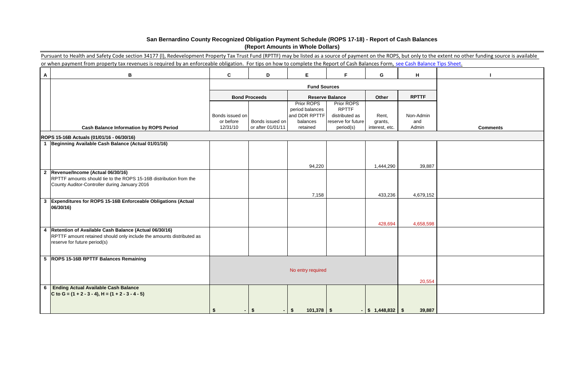|              | Pursuant to Health and Safety Code section 34177 (I), Redevelopment Property Tax Trust Fund (RPTTF) may be listed as a source of payment on the ROPS, but only to the extent no other funding source is available |                       |                                      |                                  |                                 |                           |              |                 |
|--------------|-------------------------------------------------------------------------------------------------------------------------------------------------------------------------------------------------------------------|-----------------------|--------------------------------------|----------------------------------|---------------------------------|---------------------------|--------------|-----------------|
|              | or when payment from property tax revenues is required by an enforceable obligation. For tips on how to complete the Report of Cash Balances Form, see Cash Balance Tips Sheet.                                   |                       |                                      |                                  |                                 |                           |              |                 |
| A            | B                                                                                                                                                                                                                 | C                     | D                                    | E                                | F.                              | G                         | H            |                 |
|              |                                                                                                                                                                                                                   |                       |                                      | <b>Fund Sources</b>              |                                 |                           |              |                 |
|              |                                                                                                                                                                                                                   |                       | <b>Bond Proceeds</b>                 |                                  | <b>Reserve Balance</b>          | Other                     | <b>RPTTF</b> |                 |
|              |                                                                                                                                                                                                                   |                       |                                      | Prior ROPS                       | Prior ROPS                      |                           |              |                 |
|              |                                                                                                                                                                                                                   | Bonds issued on       |                                      | period balances<br>and DDR RPTTF | <b>RPTTF</b><br>distributed as  | Rent,                     | Non-Admin    |                 |
|              | <b>Cash Balance Information by ROPS Period</b>                                                                                                                                                                    | or before<br>12/31/10 | Bonds issued on<br>or after 01/01/11 | balances<br>retained             | reserve for future<br>period(s) | grants,<br>interest, etc. | and<br>Admin | <b>Comments</b> |
|              |                                                                                                                                                                                                                   |                       |                                      |                                  |                                 |                           |              |                 |
|              | ROPS 15-16B Actuals (01/01/16 - 06/30/16)<br>Beginning Available Cash Balance (Actual 01/01/16)                                                                                                                   |                       |                                      |                                  |                                 |                           |              |                 |
|              |                                                                                                                                                                                                                   |                       |                                      |                                  |                                 |                           |              |                 |
|              |                                                                                                                                                                                                                   |                       |                                      |                                  |                                 |                           |              |                 |
|              |                                                                                                                                                                                                                   |                       |                                      | 94,220                           |                                 | 1,444,290                 | 39,887       |                 |
| $\mathbf{2}$ | Revenue/Income (Actual 06/30/16)<br>RPTTF amounts should tie to the ROPS 15-16B distribution from the                                                                                                             |                       |                                      |                                  |                                 |                           |              |                 |
|              | County Auditor-Controller during January 2016                                                                                                                                                                     |                       |                                      |                                  |                                 |                           |              |                 |
|              |                                                                                                                                                                                                                   |                       |                                      | 7,158                            |                                 | 433,236                   | 4,679,152    |                 |
| $\mathbf{3}$ | Expenditures for ROPS 15-16B Enforceable Obligations (Actual                                                                                                                                                      |                       |                                      |                                  |                                 |                           |              |                 |
|              | 06/30/16)                                                                                                                                                                                                         |                       |                                      |                                  |                                 |                           |              |                 |
|              |                                                                                                                                                                                                                   |                       |                                      |                                  |                                 |                           |              |                 |
|              |                                                                                                                                                                                                                   |                       |                                      |                                  |                                 | 428,694                   | 4,658,598    |                 |
| 4            | Retention of Available Cash Balance (Actual 06/30/16)<br>RPTTF amount retained should only include the amounts distributed as                                                                                     |                       |                                      |                                  |                                 |                           |              |                 |
|              | reserve for future period(s)                                                                                                                                                                                      |                       |                                      |                                  |                                 |                           |              |                 |
|              |                                                                                                                                                                                                                   |                       |                                      |                                  |                                 |                           |              |                 |
|              | 5 ROPS 15-16B RPTTF Balances Remaining                                                                                                                                                                            |                       |                                      |                                  |                                 |                           |              |                 |
|              |                                                                                                                                                                                                                   |                       |                                      | No entry required                |                                 |                           |              |                 |
|              |                                                                                                                                                                                                                   |                       |                                      |                                  |                                 |                           | 20,554       |                 |
|              | 6 Ending Actual Available Cash Balance                                                                                                                                                                            |                       |                                      |                                  |                                 |                           |              |                 |
|              | C to G = $(1 + 2 - 3 - 4)$ , H = $(1 + 2 - 3 - 4 - 5)$                                                                                                                                                            |                       |                                      |                                  |                                 |                           |              |                 |
|              |                                                                                                                                                                                                                   |                       |                                      |                                  |                                 |                           |              |                 |
|              |                                                                                                                                                                                                                   |                       | $-1$ \$                              | $101,378$ \$<br><b>S</b>         |                                 | $-$ \$ 1,448,832 \$       | 39,887       |                 |

# **San Bernardino County Recognized Obligation Payment Schedule (ROPS 17-18) - Report of Cash Balances (Report Amounts in Whole Dollars)**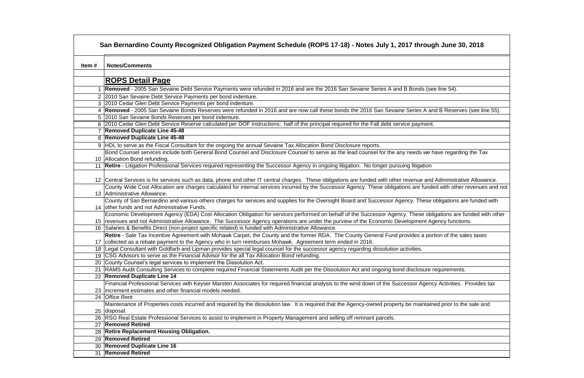| <b>Notes/Comments</b>                                                                                                                                              |
|--------------------------------------------------------------------------------------------------------------------------------------------------------------------|
| <b>ROPS Detail Page</b>                                                                                                                                            |
| 1 Removed - 2005 San Sevaine Debt Service Payments were refunded in 2016 and are the 2016 San Sevaine Series A and B Bonds (see line 54).                          |
| 2 2010 San Sevaine Debt Service Payments per bond indenture.                                                                                                       |
| 3 2010 Cedar Glen Debt Service Payments per bond indenture.                                                                                                        |
| 4 Removed - 2005 San Sevaine Bonds Reserves were refunded in 2016 and are now call these bonds the 2016 San Sevaine Series A and B Rese                            |
| 5 2010 San Sevaine Bonds Reserves per bond indenture.                                                                                                              |
| 6 2010 Cedar Glen Debt Service Reserve calculated per DOF instructions; half of the principal required for the Fall debt service payment.                          |
| 7 Removed Duplicate Line 45-48                                                                                                                                     |
| 8 Removed Duplicate Line 45-48                                                                                                                                     |
| 9 HDL to serve as the Fiscal Consultant for the ongoing the annual Sevaine Tax Allocation Bond Disclosure reports.                                                 |
| Bond Counsel services include both General Bond Counsel and Disclosure Counsel to serve as the lead counsel for the any needs we have regar                        |
| 10 Allocation Bond refunding.                                                                                                                                      |
| 11 Retire - Litigation Professional Services required representing the Successor Agency in ongoing litigation. No longer pursuing litigation                       |
| 12 Central Services is for services such as data, phone and other IT central charges. These obligations are funded with other revenue and Administr                |
| County Wide Cost Allocation are charges calculated for internal services incurred by the Successor Agency. These obligations are funded with oth                   |
| 13 Administrative Allowance.                                                                                                                                       |
| County of San Bernardino and various others charges for services and supplies for the Oversight Board and Successor Agency. These obligations                      |
| 14 other funds and not Administrative Funds.                                                                                                                       |
| Economic Development Agency (EDA) Cost Allocation Obligation for services performed on behalf of the Successor Agency. These obligations a                         |
| 15  revenues and not Administrative Allowance. The Successor Agency operations are under the purview of the Economic Development Agency fund                       |
| 16 Salaries & Benefits Direct (non-project specific related) is funded with Administrative Allowance.                                                              |
| Retire - Sale Tax Incentive Agreement with Mohawk Carpet, the County and the former RDA. The County General Fund provides a portion of the                         |
| 17 collected as a rebate payment to the Agency who in turn reimburses Mohawk. Agreement term ended in 2016.                                                        |
| 18   Legal Consultant with Goldfarb and Lipman provides special legal counsel for the successor agency regarding dissolution activities.                           |
| 19 CSG Advisors to serve as the Financial Advisor for the all Tax Allocation Bond refunding.                                                                       |
| 20 County Counsel's legal services to implement the Dissolution Act.                                                                                               |
| 21 RAMS Audit Consulting Services to complete required Financial Statements Audit per the Dissolution Act and ongoing bond disclosure requireme                    |
| 22 Removed Duplicate Line 14                                                                                                                                       |
| Financial Professional Services with Keyser Marsten Associates for required financial analysis to the wind down of the Successor Agency Activitie                  |
| 23 increment estimates and other financial models needed.                                                                                                          |
| 24 Office Rent                                                                                                                                                     |
| Maintenance of Properties costs incurred and required by the dissolution law. It is required that the Agency-owned property be maintained prior to<br>25 disposal. |
| 26 RSG Real Estate Professional Services to assist to implement in Property Management and selling off remnant parcels.                                            |
| 27 Removed Retired                                                                                                                                                 |
| 28 Retire Replacement Housing Obligation.                                                                                                                          |
| 29 Removed Retired                                                                                                                                                 |
| 30 Removed Duplicate Line 16                                                                                                                                       |
|                                                                                                                                                                    |

# **San Bernard Son 2018** and B Reserves (see line 55). e have regarding the Tax nd Administrative Allowance. nded with other revenues and not

se obligations are funded with

obligations are funded with other Agency functions.

portion of the sales taxes

re requirements.

ency Activities. Provides tax

ained prior to the sale and